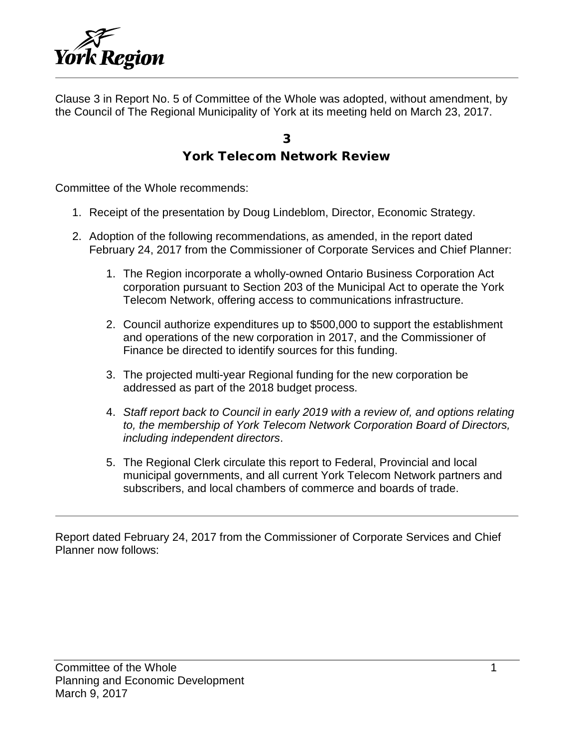

Clause 3 in Report No. 5 of Committee of the Whole was adopted, without amendment, by the Council of The Regional Municipality of York at its meeting held on March 23, 2017.

#### 3 York Telecom Network Review

Committee of the Whole recommends:

- 1. Receipt of the presentation by Doug Lindeblom, Director, Economic Strategy.
- 2. Adoption of the following recommendations, as amended, in the report dated February 24, 2017 from the Commissioner of Corporate Services and Chief Planner:
	- 1. The Region incorporate a wholly-owned Ontario Business Corporation Act corporation pursuant to Section 203 of the Municipal Act to operate the York Telecom Network, offering access to communications infrastructure.
	- 2. Council authorize expenditures up to \$500,000 to support the establishment and operations of the new corporation in 2017, and the Commissioner of Finance be directed to identify sources for this funding.
	- 3. The projected multi-year Regional funding for the new corporation be addressed as part of the 2018 budget process.
	- 4. *Staff report back to Council in early 2019 with a review of, and options relating to, the membership of York Telecom Network Corporation Board of Directors, including independent directors*.
	- 5. The Regional Clerk circulate this report to Federal, Provincial and local municipal governments, and all current York Telecom Network partners and subscribers, and local chambers of commerce and boards of trade.

Report dated February 24, 2017 from the Commissioner of Corporate Services and Chief Planner now follows: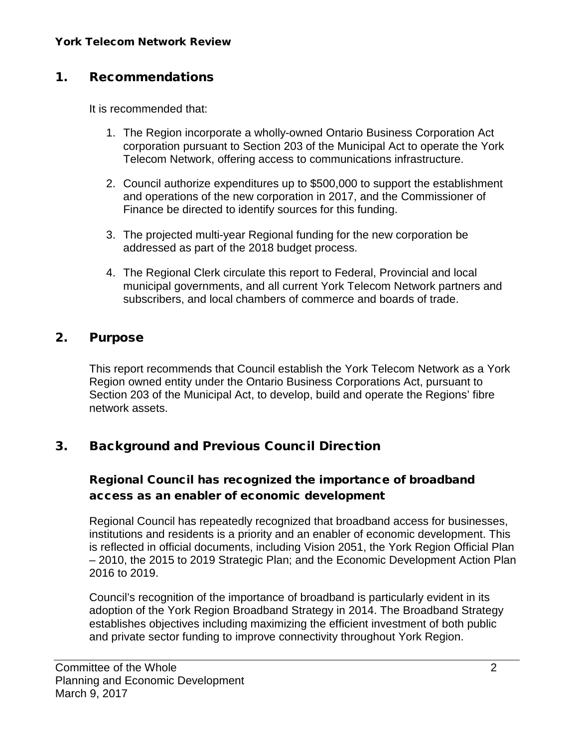#### 1. Recommendations

It is recommended that:

- 1. The Region incorporate a wholly-owned Ontario Business Corporation Act corporation pursuant to Section 203 of the Municipal Act to operate the York Telecom Network, offering access to communications infrastructure.
- 2. Council authorize expenditures up to \$500,000 to support the establishment and operations of the new corporation in 2017, and the Commissioner of Finance be directed to identify sources for this funding.
- 3. The projected multi-year Regional funding for the new corporation be addressed as part of the 2018 budget process.
- 4. The Regional Clerk circulate this report to Federal, Provincial and local municipal governments, and all current York Telecom Network partners and subscribers, and local chambers of commerce and boards of trade.

#### 2. Purpose

This report recommends that Council establish the York Telecom Network as a York Region owned entity under the Ontario Business Corporations Act, pursuant to Section 203 of the Municipal Act, to develop, build and operate the Regions' fibre network assets.

#### 3. Background and Previous Council Direction

#### Regional Council has recognized the importance of broadband access as an enabler of economic development

Regional Council has repeatedly recognized that broadband access for businesses, institutions and residents is a priority and an enabler of economic development. This is reflected in official documents, including Vision 2051, the York Region Official Plan – 2010, the 2015 to 2019 Strategic Plan; and the Economic Development Action Plan 2016 to 2019.

Council's recognition of the importance of broadband is particularly evident in its adoption of the York Region Broadband Strategy in 2014. The Broadband Strategy establishes objectives including maximizing the efficient investment of both public and private sector funding to improve connectivity throughout York Region.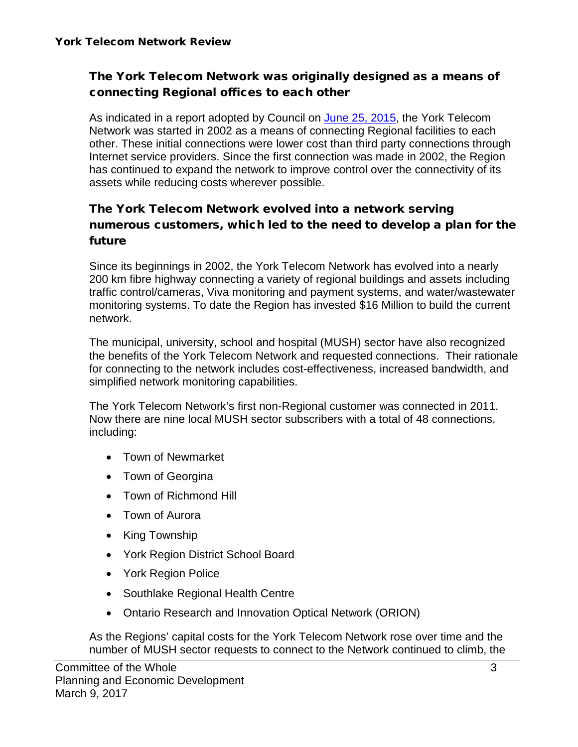#### The York Telecom Network was originally designed as a means of connecting Regional offices to each other

As indicated in a report adopted by Council on [June 25, 2015,](http://www.york.ca/wps/wcm/connect/yorkpublic/9185f29e-f93b-4764-8e55-569fac19aaac/jun+18+telecom+ex.pdf?MOD=AJPERES) the York Telecom Network was started in 2002 as a means of connecting Regional facilities to each other. These initial connections were lower cost than third party connections through Internet service providers. Since the first connection was made in 2002, the Region has continued to expand the network to improve control over the connectivity of its assets while reducing costs wherever possible.

#### The York Telecom Network evolved into a network serving numerous customers, which led to the need to develop a plan for the future

Since its beginnings in 2002, the York Telecom Network has evolved into a nearly 200 km fibre highway connecting a variety of regional buildings and assets including traffic control/cameras, Viva monitoring and payment systems, and water/wastewater monitoring systems. To date the Region has invested \$16 Million to build the current network.

The municipal, university, school and hospital (MUSH) sector have also recognized the benefits of the York Telecom Network and requested connections. Their rationale for connecting to the network includes cost-effectiveness, increased bandwidth, and simplified network monitoring capabilities.

The York Telecom Network's first non-Regional customer was connected in 2011. Now there are nine local MUSH sector subscribers with a total of 48 connections, including:

- Town of Newmarket
- Town of Georgina
- Town of Richmond Hill
- Town of Aurora
- King Township
- York Region District School Board
- York Region Police
- Southlake Regional Health Centre
- Ontario Research and Innovation Optical Network (ORION)

As the Regions' capital costs for the York Telecom Network rose over time and the number of MUSH sector requests to connect to the Network continued to climb, the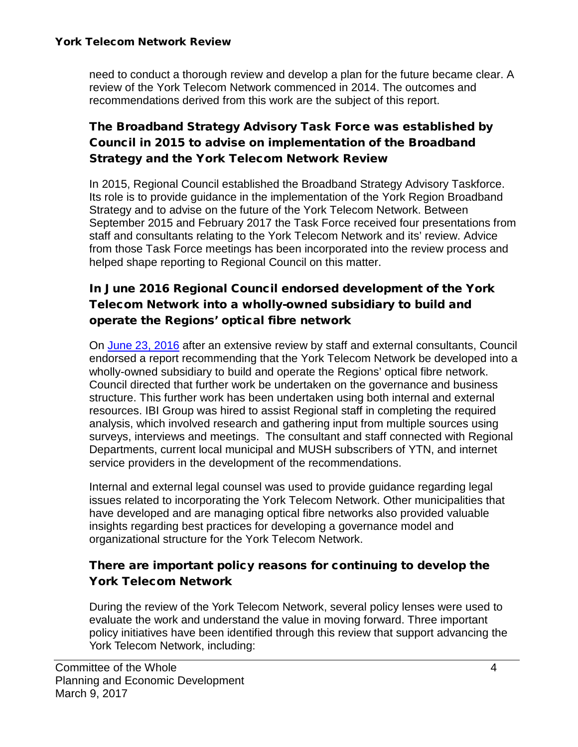need to conduct a thorough review and develop a plan for the future became clear. A review of the York Telecom Network commenced in 2014. The outcomes and recommendations derived from this work are the subject of this report.

#### The Broadband Strategy Advisory Task Force was established by Council in 2015 to advise on implementation of the Broadband Strategy and the York Telecom Network Review

In 2015, Regional Council established the Broadband Strategy Advisory Taskforce. Its role is to provide guidance in the implementation of the York Region Broadband Strategy and to advise on the future of the York Telecom Network. Between September 2015 and February 2017 the Task Force received four presentations from staff and consultants relating to the York Telecom Network and its' review. Advice from those Task Force meetings has been incorporated into the review process and helped shape reporting to Regional Council on this matter.

#### In June 2016 Regional Council endorsed development of the York Telecom Network into a wholly-owned subsidiary to build and operate the Regions' optical fibre network

On [June 23, 2016](http://www.york.ca/wps/wcm/connect/yorkpublic/10699513-9e15-416b-a692-06886179fe77/jun+16+telecom+ex.pdf?MOD=AJPERES) after an extensive review by staff and external consultants, Council endorsed a report recommending that the York Telecom Network be developed into a wholly-owned subsidiary to build and operate the Regions' optical fibre network. Council directed that further work be undertaken on the governance and business structure. This further work has been undertaken using both internal and external resources. IBI Group was hired to assist Regional staff in completing the required analysis, which involved research and gathering input from multiple sources using surveys, interviews and meetings. The consultant and staff connected with Regional Departments, current local municipal and MUSH subscribers of YTN, and internet service providers in the development of the recommendations.

Internal and external legal counsel was used to provide guidance regarding legal issues related to incorporating the York Telecom Network. Other municipalities that have developed and are managing optical fibre networks also provided valuable insights regarding best practices for developing a governance model and organizational structure for the York Telecom Network.

#### There are important policy reasons for continuing to develop the York Telecom Network

During the review of the York Telecom Network, several policy lenses were used to evaluate the work and understand the value in moving forward. Three important policy initiatives have been identified through this review that support advancing the York Telecom Network, including: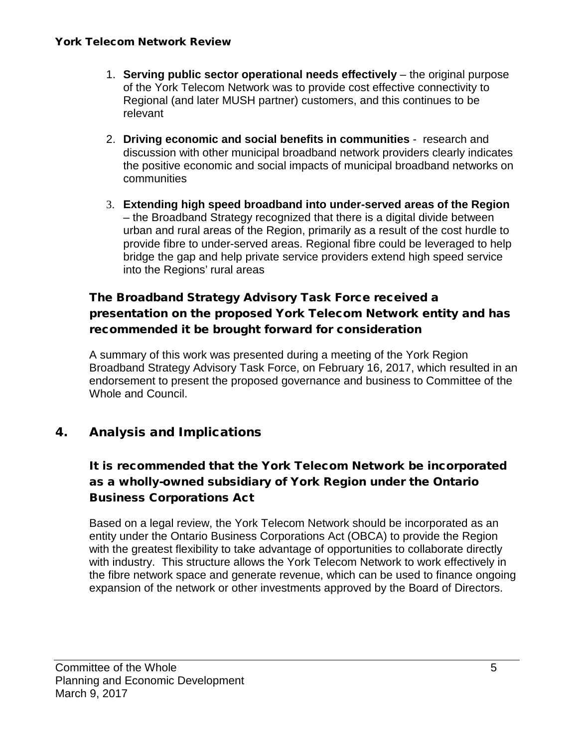- 1. **Serving public sector operational needs effectively** the original purpose of the York Telecom Network was to provide cost effective connectivity to Regional (and later MUSH partner) customers, and this continues to be relevant
- 2. **Driving economic and social benefits in communities** research and discussion with other municipal broadband network providers clearly indicates the positive economic and social impacts of municipal broadband networks on communities
- 3. **Extending high speed broadband into under-served areas of the Region** – the Broadband Strategy recognized that there is a digital divide between urban and rural areas of the Region, primarily as a result of the cost hurdle to provide fibre to under-served areas. Regional fibre could be leveraged to help bridge the gap and help private service providers extend high speed service into the Regions' rural areas

#### The Broadband Strategy Advisory Task Force received a presentation on the proposed York Telecom Network entity and has recommended it be brought forward for consideration

A summary of this work was presented during a meeting of the York Region Broadband Strategy Advisory Task Force, on February 16, 2017, which resulted in an endorsement to present the proposed governance and business to Committee of the Whole and Council.

#### 4. Analysis and Implications

#### It is recommended that the York Telecom Network be incorporated as a wholly-owned subsidiary of York Region under the Ontario Business Corporations Act

Based on a legal review, the York Telecom Network should be incorporated as an entity under the Ontario Business Corporations Act (OBCA) to provide the Region with the greatest flexibility to take advantage of opportunities to collaborate directly with industry. This structure allows the York Telecom Network to work effectively in the fibre network space and generate revenue, which can be used to finance ongoing expansion of the network or other investments approved by the Board of Directors.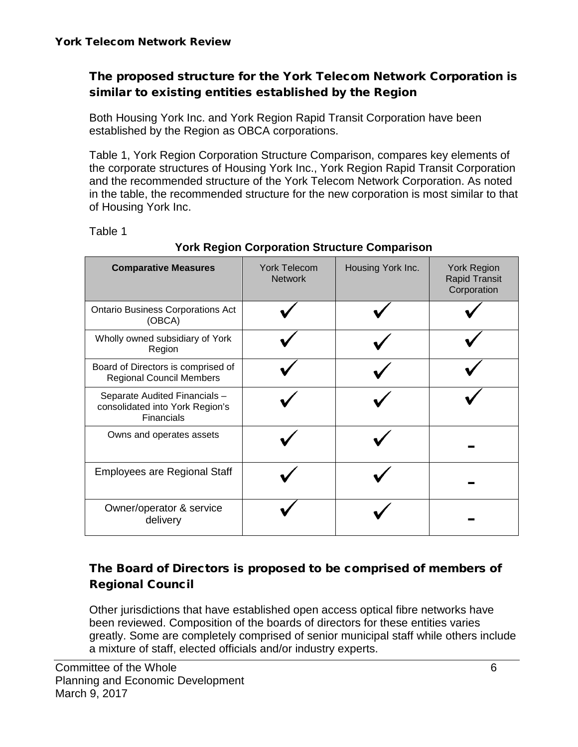#### The proposed structure for the York Telecom Network Corporation is similar to existing entities established by the Region

Both Housing York Inc. and York Region Rapid Transit Corporation have been established by the Region as OBCA corporations.

Table 1, York Region Corporation Structure Comparison, compares key elements of the corporate structures of Housing York Inc., York Region Rapid Transit Corporation and the recommended structure of the York Telecom Network Corporation. As noted in the table, the recommended structure for the new corporation is most similar to that of Housing York Inc.

Table 1

| <b>Comparative Measures</b>                                                           | <b>York Telecom</b><br><b>Network</b> | Housing York Inc. | <b>York Region</b><br><b>Rapid Transit</b><br>Corporation |
|---------------------------------------------------------------------------------------|---------------------------------------|-------------------|-----------------------------------------------------------|
| <b>Ontario Business Corporations Act</b><br>(OBCA)                                    |                                       |                   |                                                           |
| Wholly owned subsidiary of York<br>Region                                             |                                       |                   |                                                           |
| Board of Directors is comprised of<br><b>Regional Council Members</b>                 |                                       |                   |                                                           |
| Separate Audited Financials -<br>consolidated into York Region's<br><b>Financials</b> |                                       |                   |                                                           |
| Owns and operates assets                                                              |                                       |                   |                                                           |
| <b>Employees are Regional Staff</b>                                                   |                                       |                   |                                                           |
| Owner/operator & service<br>delivery                                                  |                                       |                   |                                                           |

#### **York Region Corporation Structure Comparison**

#### The Board of Directors is proposed to be comprised of members of Regional Council

Other jurisdictions that have established open access optical fibre networks have been reviewed. Composition of the boards of directors for these entities varies greatly. Some are completely comprised of senior municipal staff while others include a mixture of staff, elected officials and/or industry experts.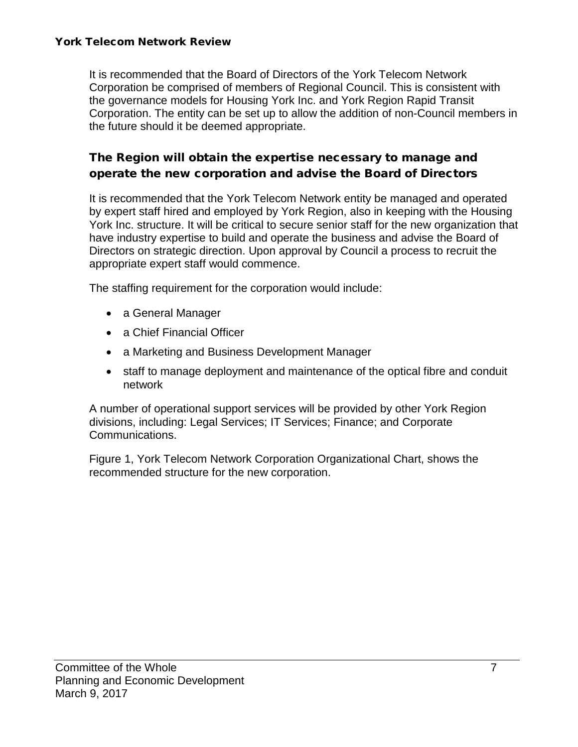It is recommended that the Board of Directors of the York Telecom Network Corporation be comprised of members of Regional Council. This is consistent with the governance models for Housing York Inc. and York Region Rapid Transit Corporation. The entity can be set up to allow the addition of non-Council members in the future should it be deemed appropriate.

#### The Region will obtain the expertise necessary to manage and operate the new corporation and advise the Board of Directors

It is recommended that the York Telecom Network entity be managed and operated by expert staff hired and employed by York Region, also in keeping with the Housing York Inc. structure. It will be critical to secure senior staff for the new organization that have industry expertise to build and operate the business and advise the Board of Directors on strategic direction. Upon approval by Council a process to recruit the appropriate expert staff would commence.

The staffing requirement for the corporation would include:

- a General Manager
- a Chief Financial Officer
- a Marketing and Business Development Manager
- staff to manage deployment and maintenance of the optical fibre and conduit network

A number of operational support services will be provided by other York Region divisions, including: Legal Services; IT Services; Finance; and Corporate Communications.

Figure 1, York Telecom Network Corporation Organizational Chart, shows the recommended structure for the new corporation.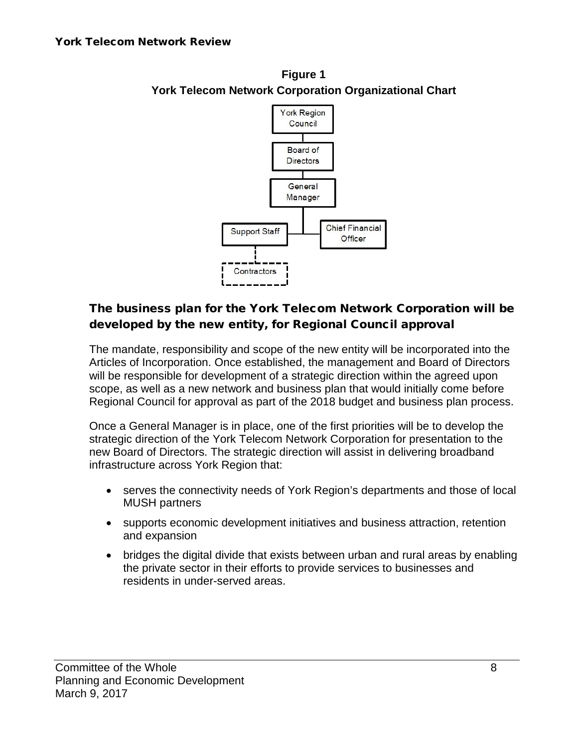

#### **Figure 1 York Telecom Network Corporation Organizational Chart**

#### The business plan for the York Telecom Network Corporation will be developed by the new entity, for Regional Council approval

The mandate, responsibility and scope of the new entity will be incorporated into the Articles of Incorporation. Once established, the management and Board of Directors will be responsible for development of a strategic direction within the agreed upon scope, as well as a new network and business plan that would initially come before Regional Council for approval as part of the 2018 budget and business plan process.

Once a General Manager is in place, one of the first priorities will be to develop the strategic direction of the York Telecom Network Corporation for presentation to the new Board of Directors. The strategic direction will assist in delivering broadband infrastructure across York Region that:

- serves the connectivity needs of York Region's departments and those of local MUSH partners
- supports economic development initiatives and business attraction, retention and expansion
- bridges the digital divide that exists between urban and rural areas by enabling the private sector in their efforts to provide services to businesses and residents in under-served areas.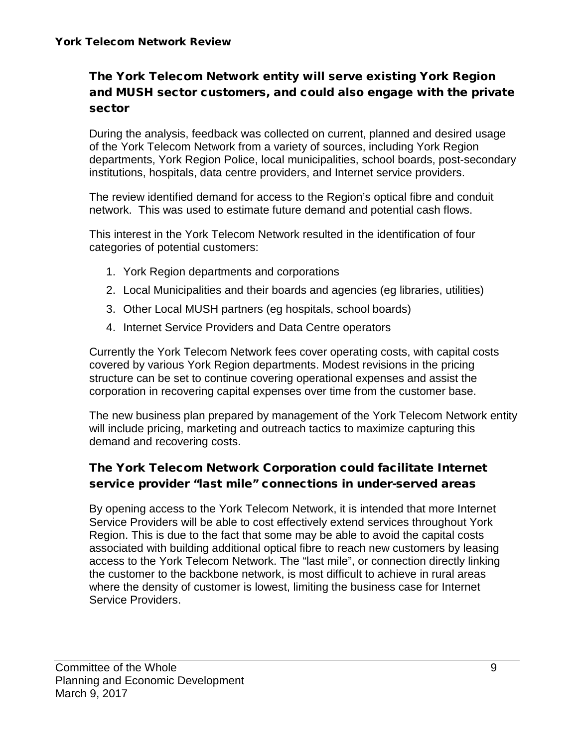#### The York Telecom Network entity will serve existing York Region and MUSH sector customers, and could also engage with the private sector

During the analysis, feedback was collected on current, planned and desired usage of the York Telecom Network from a variety of sources, including York Region departments, York Region Police, local municipalities, school boards, post-secondary institutions, hospitals, data centre providers, and Internet service providers.

The review identified demand for access to the Region's optical fibre and conduit network. This was used to estimate future demand and potential cash flows.

This interest in the York Telecom Network resulted in the identification of four categories of potential customers:

- 1. York Region departments and corporations
- 2. Local Municipalities and their boards and agencies (eg libraries, utilities)
- 3. Other Local MUSH partners (eg hospitals, school boards)
- 4. Internet Service Providers and Data Centre operators

Currently the York Telecom Network fees cover operating costs, with capital costs covered by various York Region departments. Modest revisions in the pricing structure can be set to continue covering operational expenses and assist the corporation in recovering capital expenses over time from the customer base.

The new business plan prepared by management of the York Telecom Network entity will include pricing, marketing and outreach tactics to maximize capturing this demand and recovering costs.

#### The York Telecom Network Corporation could facilitate Internet service provider "last mile" connections in under-served areas

By opening access to the York Telecom Network, it is intended that more Internet Service Providers will be able to cost effectively extend services throughout York Region. This is due to the fact that some may be able to avoid the capital costs associated with building additional optical fibre to reach new customers by leasing access to the York Telecom Network. The "last mile", or connection directly linking the customer to the backbone network, is most difficult to achieve in rural areas where the density of customer is lowest, limiting the business case for Internet Service Providers.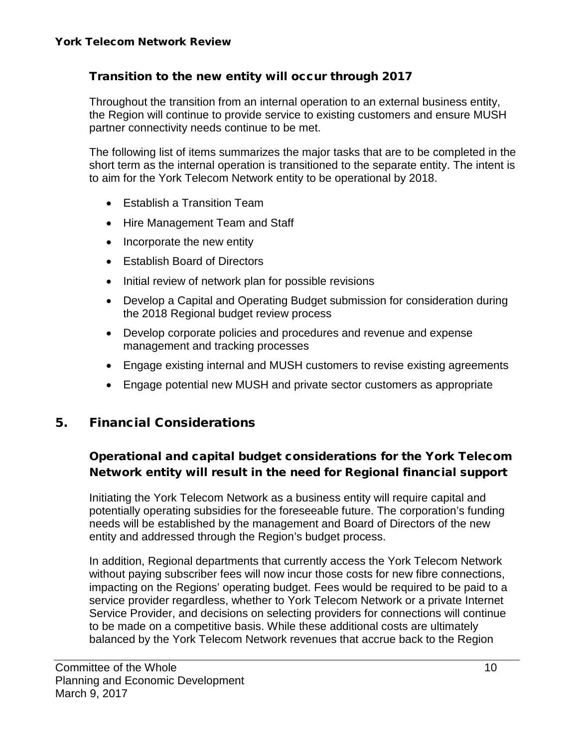#### Transition to the new entity will occur through 2017

Throughout the transition from an internal operation to an external business entity, the Region will continue to provide service to existing customers and ensure MUSH partner connectivity needs continue to be met.

The following list of items summarizes the major tasks that are to be completed in the short term as the internal operation is transitioned to the separate entity. The intent is to aim for the York Telecom Network entity to be operational by 2018.

- Establish a Transition Team
- Hire Management Team and Staff
- Incorporate the new entity
- Establish Board of Directors
- Initial review of network plan for possible revisions
- Develop a Capital and Operating Budget submission for consideration during the 2018 Regional budget review process
- Develop corporate policies and procedures and revenue and expense management and tracking processes
- Engage existing internal and MUSH customers to revise existing agreements
- Engage potential new MUSH and private sector customers as appropriate

#### 5. Financial Considerations

#### Operational and capital budget considerations for the York Telecom Network entity will result in the need for Regional financial support

Initiating the York Telecom Network as a business entity will require capital and potentially operating subsidies for the foreseeable future. The corporation's funding needs will be established by the management and Board of Directors of the new entity and addressed through the Region's budget process.

In addition, Regional departments that currently access the York Telecom Network without paying subscriber fees will now incur those costs for new fibre connections, impacting on the Regions' operating budget. Fees would be required to be paid to a service provider regardless, whether to York Telecom Network or a private Internet Service Provider, and decisions on selecting providers for connections will continue to be made on a competitive basis. While these additional costs are ultimately balanced by the York Telecom Network revenues that accrue back to the Region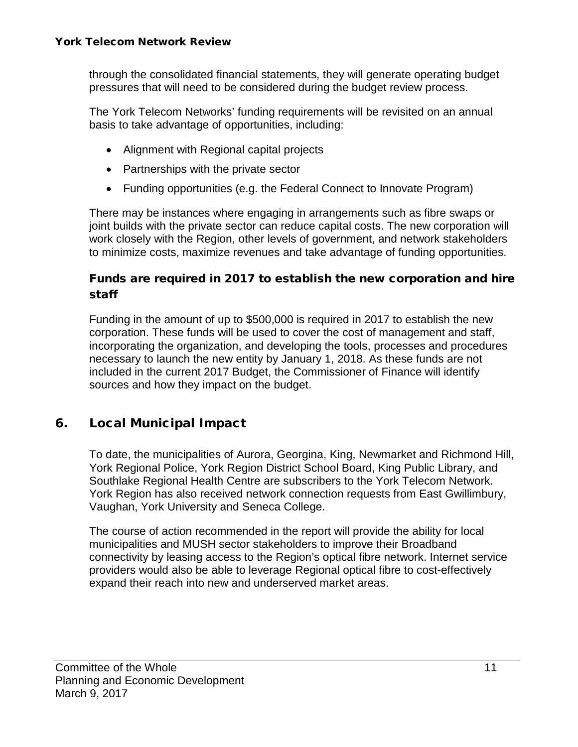through the consolidated financial statements, they will generate operating budget pressures that will need to be considered during the budget review process.

The York Telecom Networks' funding requirements will be revisited on an annual basis to take advantage of opportunities, including:

- Alignment with Regional capital projects
- Partnerships with the private sector
- Funding opportunities (e.g. the Federal Connect to Innovate Program)

There may be instances where engaging in arrangements such as fibre swaps or joint builds with the private sector can reduce capital costs. The new corporation will work closely with the Region, other levels of government, and network stakeholders to minimize costs, maximize revenues and take advantage of funding opportunities.

#### Funds are required in 2017 to establish the new corporation and hire staff

Funding in the amount of up to \$500,000 is required in 2017 to establish the new corporation. These funds will be used to cover the cost of management and staff, incorporating the organization, and developing the tools, processes and procedures necessary to launch the new entity by January 1, 2018. As these funds are not included in the current 2017 Budget, the Commissioner of Finance will identify sources and how they impact on the budget.

#### 6. Local Municipal Impact

To date, the municipalities of Aurora, Georgina, King, Newmarket and Richmond Hill, York Regional Police, York Region District School Board, King Public Library, and Southlake Regional Health Centre are subscribers to the York Telecom Network. York Region has also received network connection requests from East Gwillimbury, Vaughan, York University and Seneca College.

The course of action recommended in the report will provide the ability for local municipalities and MUSH sector stakeholders to improve their Broadband connectivity by leasing access to the Region's optical fibre network. Internet service providers would also be able to leverage Regional optical fibre to cost-effectively expand their reach into new and underserved market areas.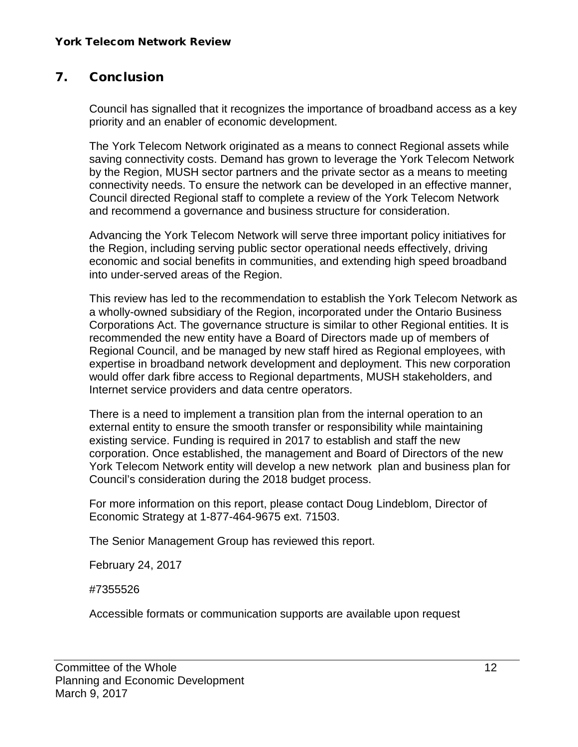#### 7. Conclusion

Council has signalled that it recognizes the importance of broadband access as a key priority and an enabler of economic development.

The York Telecom Network originated as a means to connect Regional assets while saving connectivity costs. Demand has grown to leverage the York Telecom Network by the Region, MUSH sector partners and the private sector as a means to meeting connectivity needs. To ensure the network can be developed in an effective manner, Council directed Regional staff to complete a review of the York Telecom Network and recommend a governance and business structure for consideration.

Advancing the York Telecom Network will serve three important policy initiatives for the Region, including serving public sector operational needs effectively, driving economic and social benefits in communities, and extending high speed broadband into under-served areas of the Region.

This review has led to the recommendation to establish the York Telecom Network as a wholly-owned subsidiary of the Region, incorporated under the Ontario Business Corporations Act. The governance structure is similar to other Regional entities. It is recommended the new entity have a Board of Directors made up of members of Regional Council, and be managed by new staff hired as Regional employees, with expertise in broadband network development and deployment. This new corporation would offer dark fibre access to Regional departments, MUSH stakeholders, and Internet service providers and data centre operators.

There is a need to implement a transition plan from the internal operation to an external entity to ensure the smooth transfer or responsibility while maintaining existing service. Funding is required in 2017 to establish and staff the new corporation. Once established, the management and Board of Directors of the new York Telecom Network entity will develop a new network plan and business plan for Council's consideration during the 2018 budget process.

For more information on this report, please contact Doug Lindeblom, Director of Economic Strategy at 1-877-464-9675 ext. 71503.

The Senior Management Group has reviewed this report.

February 24, 2017

#7355526

Accessible formats or communication supports are available upon request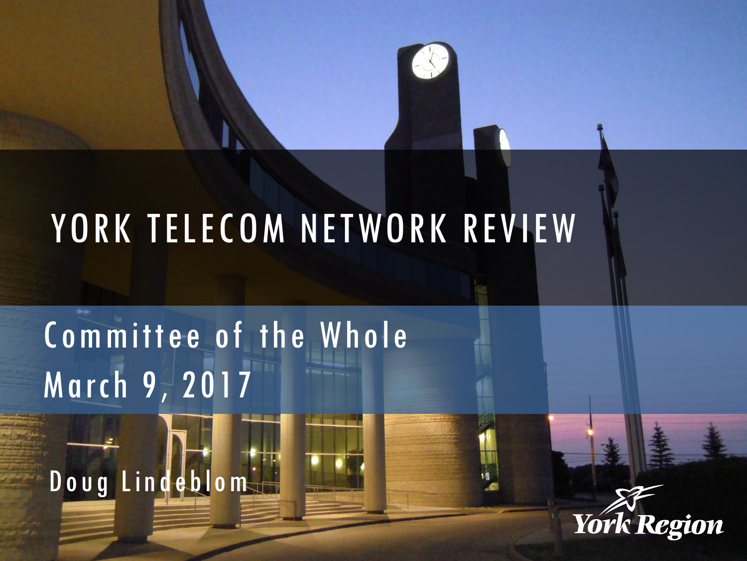# YORK TELECOM NETWORK REVIEW

# Committee of the Whole March 9, 2017



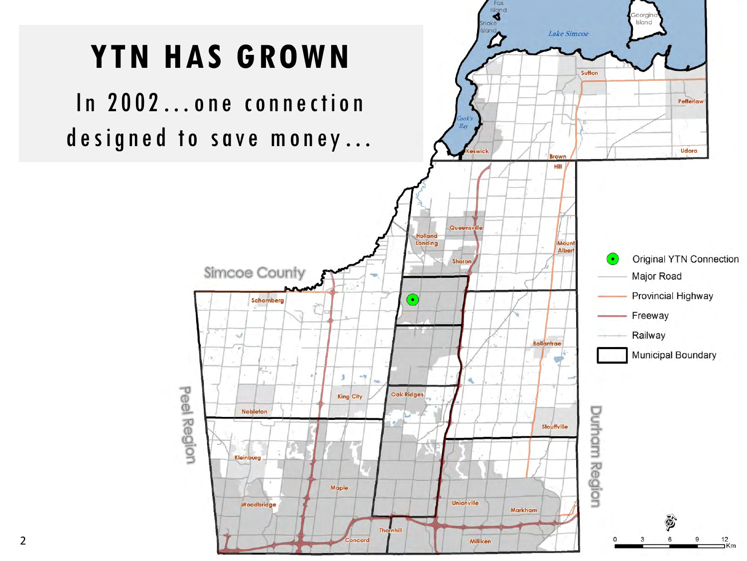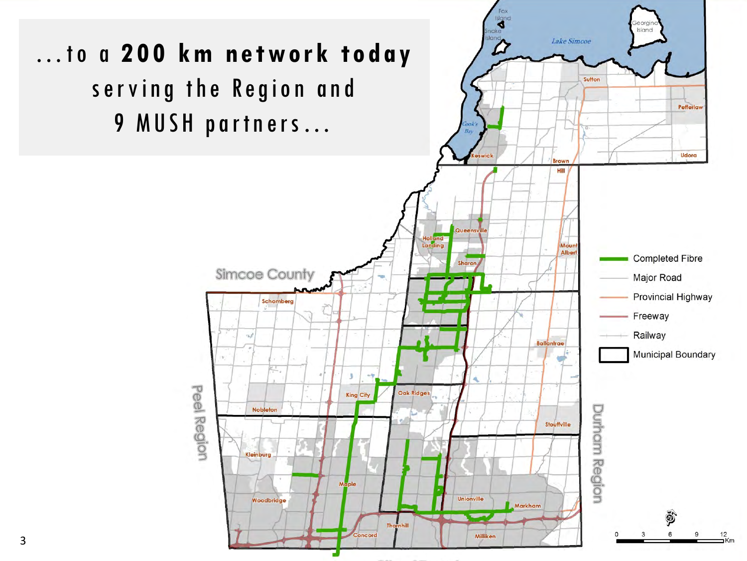

3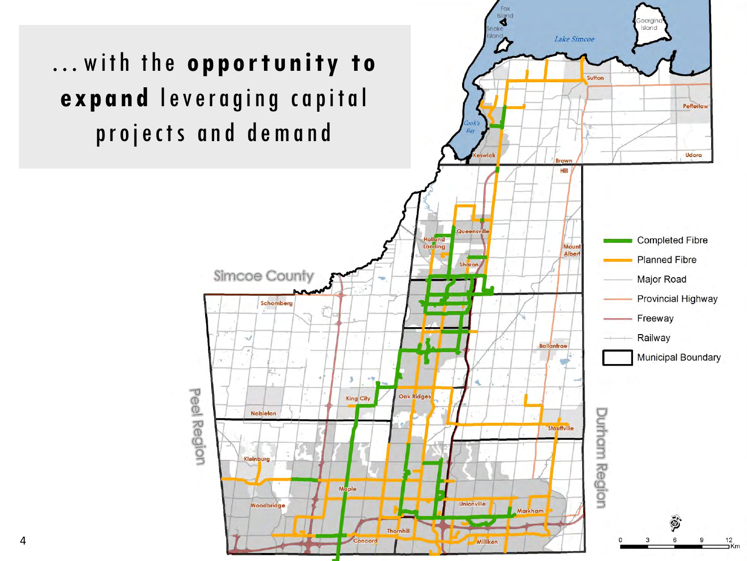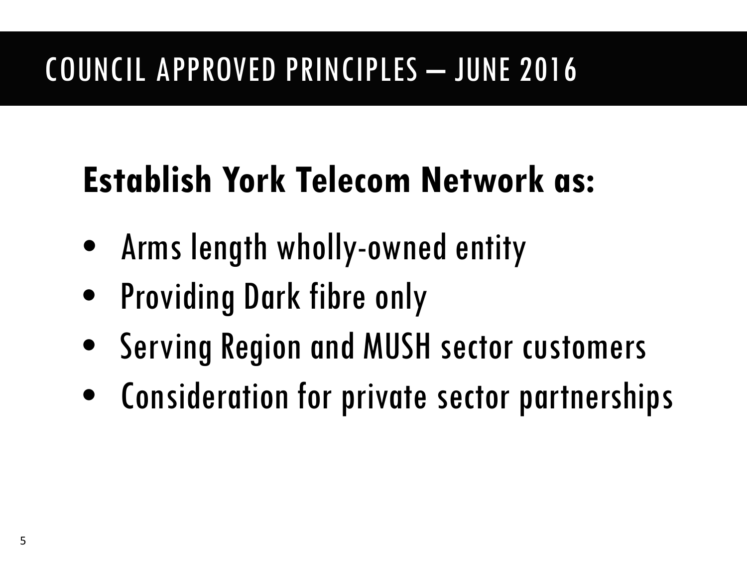### COUNCIL APPROVED PRINCIPLES – JUNE 2016

## **Establish York Telecom Network as:**

- Arms length wholly-owned entity
- Providing Dark fibre only
- Serving Region and MUSH sector customers
- Consideration for private sector partnerships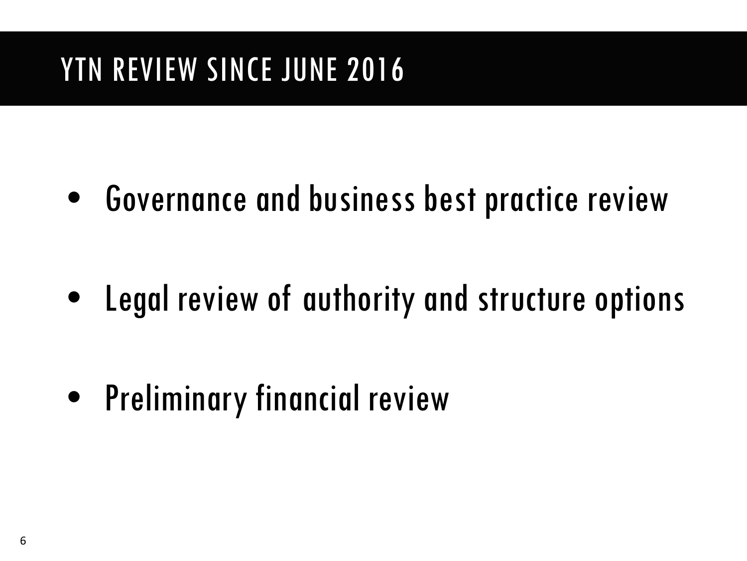### YTN REVIEW SINCE JUNE 2016

• Governance and business best practice review

• Legal review of authority and structure options

• Preliminary financial review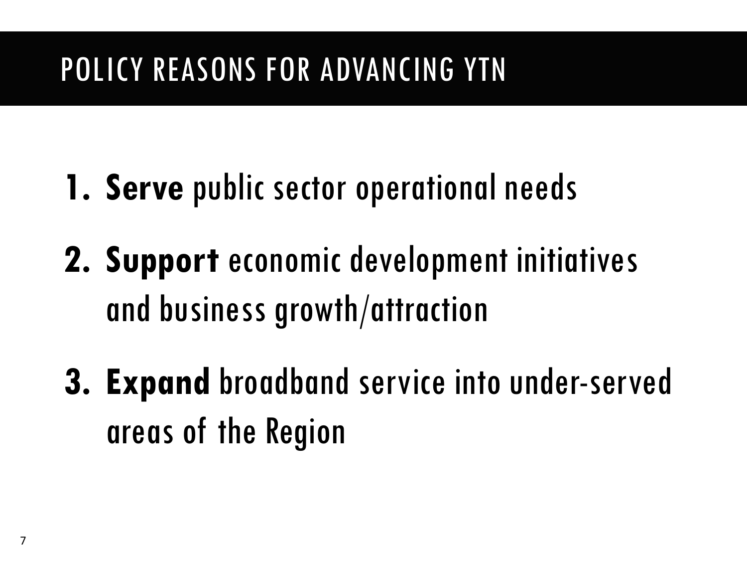### POLICY REASONS FOR ADVANCING YTN

- **1. Serve** public sector operational needs
- **2. Support** economic development initiatives and business growth/attraction
- **3. Expand** broadband service into under-served areas of the Region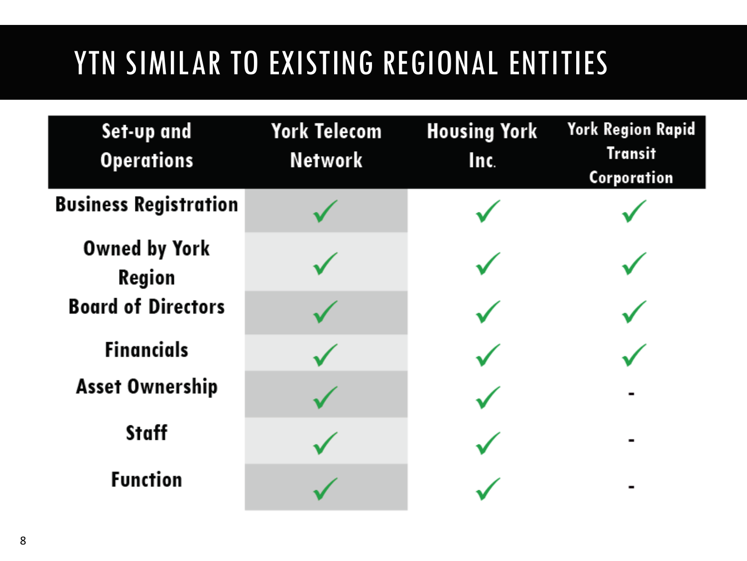## YTN SIMILAR TO EXISTING REGIONAL ENTITIES

| Set-up and<br><b>Operations</b> | <b>York Telecom</b><br><b>Network</b> | <b>Housing York</b><br>Inc. | <b>York Region Rapid</b><br><b>Transit</b><br>Corporation |
|---------------------------------|---------------------------------------|-----------------------------|-----------------------------------------------------------|
| <b>Business Registration</b>    |                                       |                             |                                                           |
| <b>Owned by York</b><br>Region  |                                       |                             |                                                           |
| <b>Board of Directors</b>       |                                       |                             |                                                           |
| <b>Financials</b>               |                                       |                             |                                                           |
| <b>Asset Ownership</b>          |                                       |                             |                                                           |
| <b>Staff</b>                    |                                       |                             |                                                           |
| <b>Function</b>                 |                                       |                             |                                                           |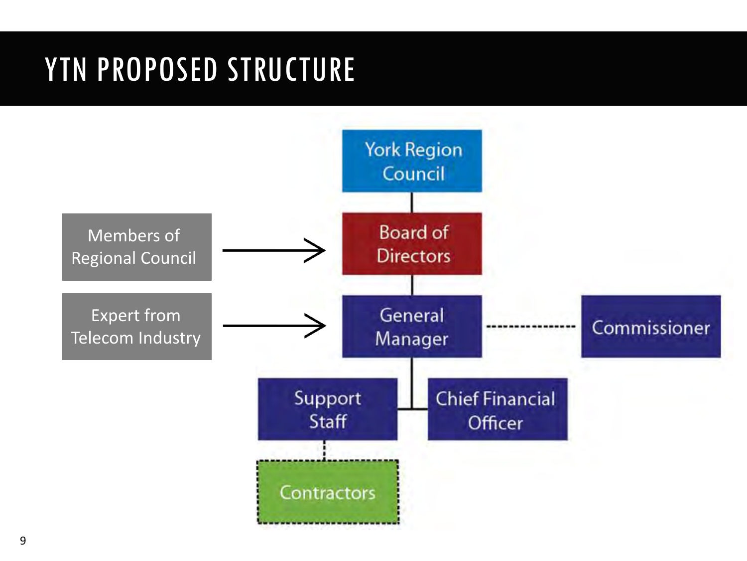### YTN PROPOSED STRUCTURE

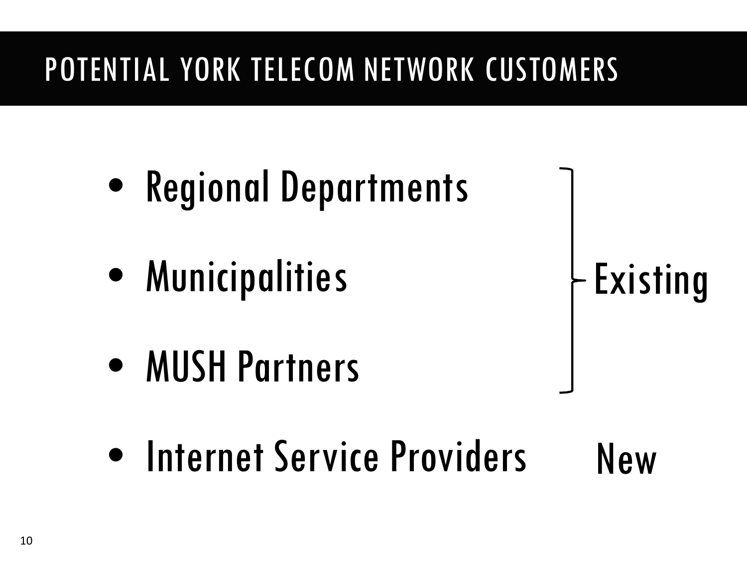## POTENTIAL YORK TELECOM NETWORK CUSTOMERS

- Regional Departments
- Municipalities

Existing

- MUSH Partners
- Internet Service Providers New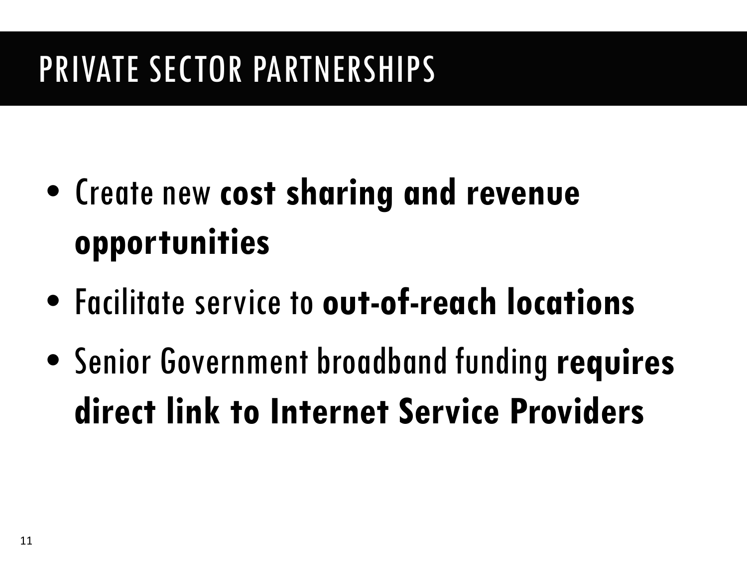## PRIVATE SECTOR PARTNERSHIPS

- Create new **cost sharing and revenue opportunities**
- Facilitate service to **out-of-reach locations**
- Senior Government broadband funding **requires direct link to Internet Service Providers**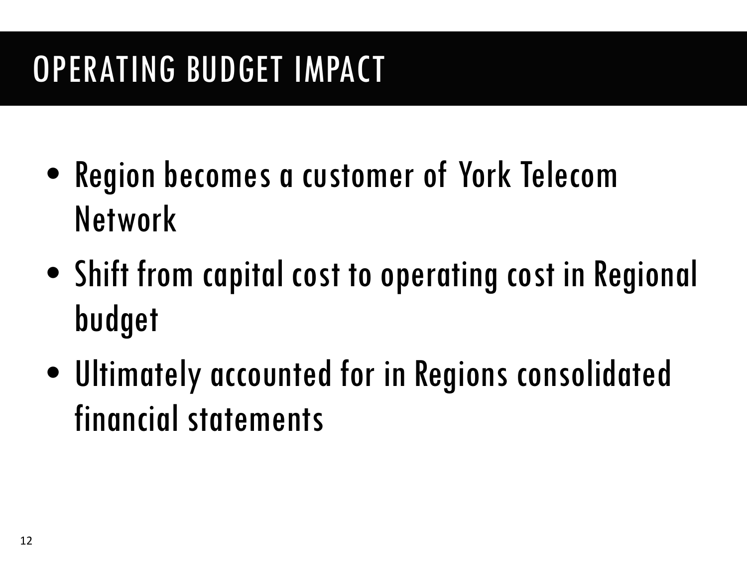## OPERATING BUDGET IMPACT

- Region becomes a customer of York Telecom Network
- Shift from capital cost to operating cost in Regional budget
- Ultimately accounted for in Regions consolidated financial statements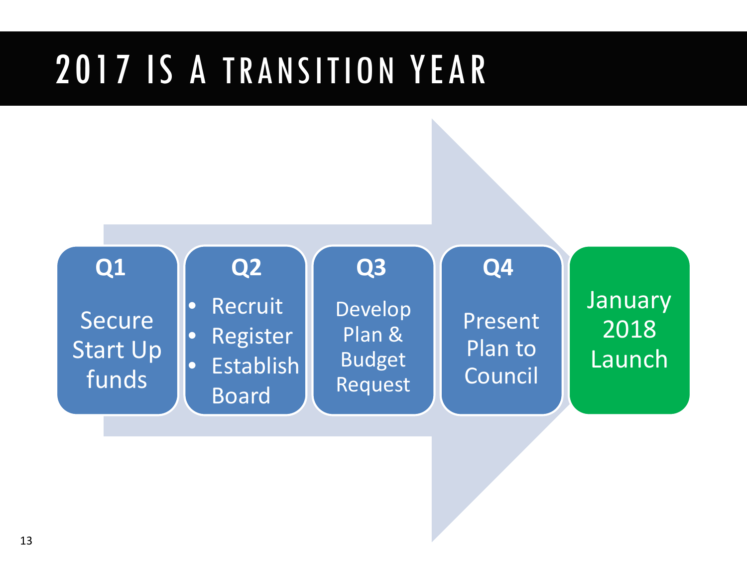## 2017 IS A TRANSITION YEAR